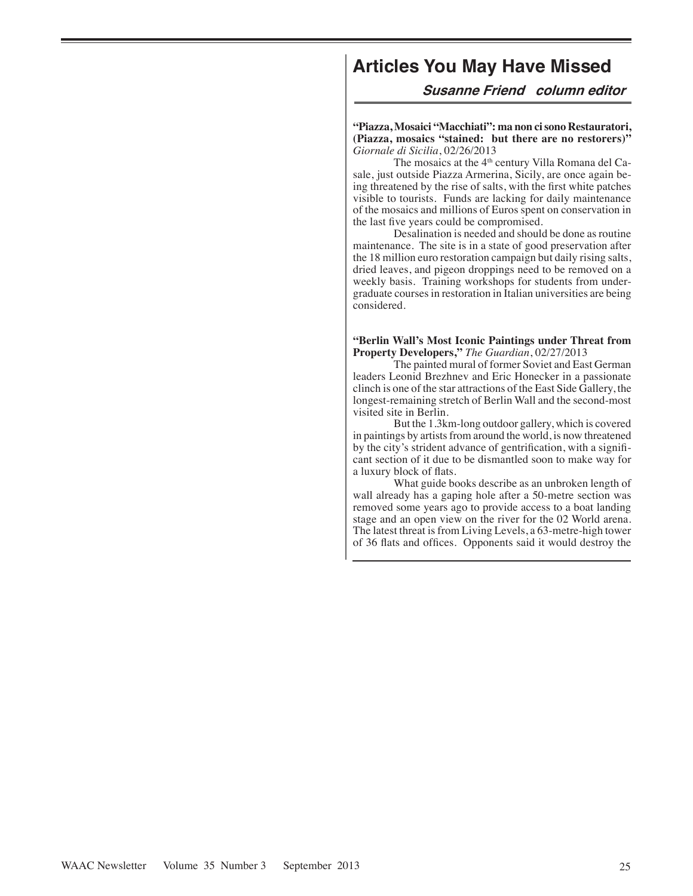# **Articles You May Have Missed**

**Susanne Friend column editor**

**"Piazza, Mosaici "Macchiati": ma non ci sono Restauratori, (Piazza, mosaics "stained: but there are no restorers)"** *Giornale di Sicilia*, 02/26/2013

The mosaics at the 4<sup>th</sup> century Villa Romana del Casale, just outside Piazza Armerina, Sicily, are once again being threatened by the rise of salts, with the first white patches visible to tourists. Funds are lacking for daily maintenance of the mosaics and millions of Euros spent on conservation in the last five years could be compromised.

Desalination is needed and should be done as routine maintenance. The site is in a state of good preservation after the 18 million euro restoration campaign but daily rising salts, dried leaves, and pigeon droppings need to be removed on a weekly basis. Training workshops for students from undergraduate courses in restoration in Italian universities are being considered.

**"Berlin Wall's Most Iconic Paintings under Threat from Property Developers,"** *The Guardian*, 02/27/2013

The painted mural of former Soviet and East German leaders Leonid Brezhnev and Eric Honecker in a passionate clinch is one of the star attractions of the East Side Gallery, the longest-remaining stretch of Berlin Wall and the second-most visited site in Berlin.

But the 1.3km-long outdoor gallery, which is covered in paintings by artists from around the world, is now threatened by the city's strident advance of gentrification, with a significant section of it due to be dismantled soon to make way for a luxury block of flats.

What guide books describe as an unbroken length of wall already has a gaping hole after a 50-metre section was removed some years ago to provide access to a boat landing stage and an open view on the river for the 02 World arena. The latest threat is from Living Levels, a 63-metre-high tower of 36 flats and offices. Opponents said it would destroy the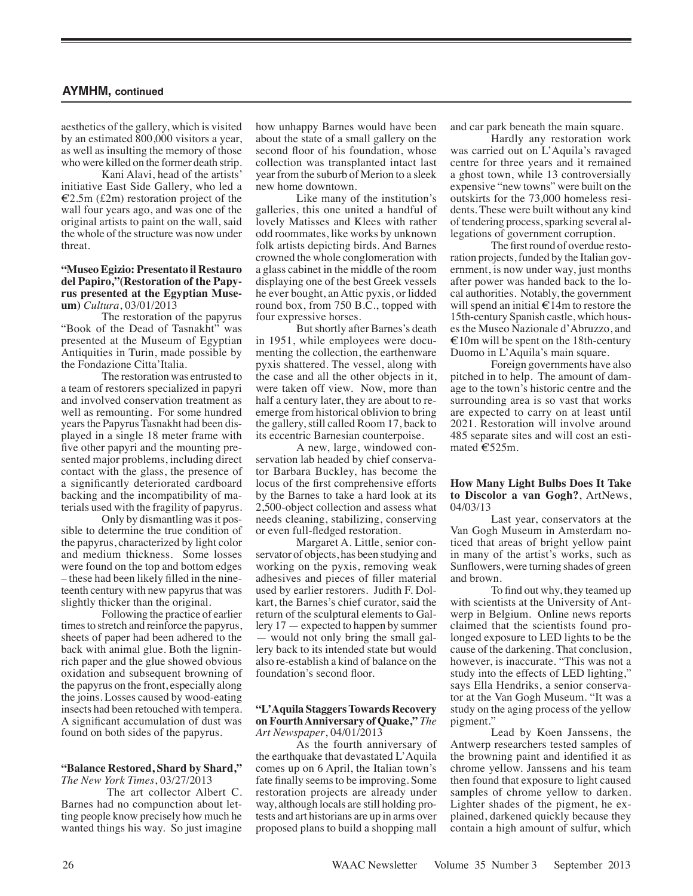aesthetics of the gallery, which is visited by an estimated 800,000 visitors a year, as well as insulting the memory of those who were killed on the former death strip.

Kani Alavi, head of the artists' initiative East Side Gallery, who led a  $E2.5m$  (£2m) restoration project of the wall four years ago, and was one of the original artists to paint on the wall, said the whole of the structure was now under threat.

#### **"Museo Egizio: Presentato il Restauro del Papiro,"(Restoration of the Papyrus presented at the Egyptian Museum)** *Cultura*, 03/01/2013

The restoration of the papyrus "Book of the Dead of Tasnakht" was presented at the Museum of Egyptian Antiquities in Turin, made possible by the Fondazione Citta'Italia.

The restoration was entrusted to a team of restorers specialized in papyri and involved conservation treatment as well as remounting. For some hundred years the Papyrus Tasnakht had been displayed in a single 18 meter frame with five other papyri and the mounting presented major problems, including direct contact with the glass, the presence of a significantly deteriorated cardboard backing and the incompatibility of materials used with the fragility of papyrus.

Only by dismantling was it possible to determine the true condition of the papyrus, characterized by light color and medium thickness. Some losses were found on the top and bottom edges – these had been likely filled in the nineteenth century with new papyrus that was slightly thicker than the original.

Following the practice of earlier times to stretch and reinforce the papyrus, sheets of paper had been adhered to the back with animal glue. Both the ligninrich paper and the glue showed obvious oxidation and subsequent browning of the papyrus on the front, especially along the joins. Losses caused by wood-eating insects had been retouched with tempera. A significant accumulation of dust was found on both sides of the papyrus.

#### **"Balance Restored, Shard by Shard,"** *The New York Times*, 03/27/2013

 The art collector Albert C. Barnes had no compunction about letting people know precisely how much he wanted things his way. So just imagine

how unhappy Barnes would have been about the state of a small gallery on the second floor of his foundation, whose collection was transplanted intact last year from the suburb of Merion to a sleek new home downtown.

Like many of the institution's galleries, this one united a handful of lovely Matisses and Klees with rather odd roommates, like works by unknown folk artists depicting birds. And Barnes crowned the whole conglomeration with a glass cabinet in the middle of the room displaying one of the best Greek vessels he ever bought, an Attic pyxis, or lidded round box, from 750 B.C., topped with four expressive horses.

But shortly after Barnes's death in 1951, while employees were documenting the collection, the earthenware pyxis shattered. The vessel, along with the case and all the other objects in it, were taken off view. Now, more than half a century later, they are about to reemerge from historical oblivion to bring the gallery, still called Room 17, back to its eccentric Barnesian counterpoise.

A new, large, windowed conservation lab headed by chief conservator Barbara Buckley, has become the locus of the first comprehensive efforts by the Barnes to take a hard look at its 2,500-object collection and assess what needs cleaning, stabilizing, conserving or even full-fledged restoration.

Margaret A. Little, senior conservator of objects, has been studying and working on the pyxis, removing weak adhesives and pieces of filler material used by earlier restorers. Judith F. Dolkart, the Barnes's chief curator, said the return of the sculptural elements to Gallery 17 — expected to happen by summer — would not only bring the small gallery back to its intended state but would also re-establish a kind of balance on the foundation's second floor.

#### **"L'Aquila Staggers Towards Recovery on Fourth Anniversary of Quake,"** *The Art Newspaper*, 04/01/2013

As the fourth anniversary of the earthquake that devastated L'Aquila comes up on 6 April, the Italian town's fate finally seems to be improving. Some restoration projects are already under way, although locals are still holding protests and art historians are up in arms over proposed plans to build a shopping mall and car park beneath the main square.

Hardly any restoration work was carried out on L'Aquila's ravaged centre for three years and it remained a ghost town, while 13 controversially expensive "new towns" were built on the outskirts for the 73,000 homeless residents. These were built without any kind of tendering process, sparking several allegations of government corruption.

The first round of overdue restoration projects, funded by the Italian government, is now under way, just months after power was handed back to the local authorities. Notably, the government will spend an initial  $\epsilon$ 14m to restore the 15th-century Spanish castle, which houses the Museo Nazionale d'Abruzzo, and  $E10m$  will be spent on the 18th-century Duomo in L'Aquila's main square.

Foreign governments have also pitched in to help. The amount of damage to the town's historic centre and the surrounding area is so vast that works are expected to carry on at least until 2021. Restoration will involve around 485 separate sites and will cost an estimated €525m.

## **How Many Light Bulbs Does It Take to Discolor a van Gogh?**, ArtNews, 04/03/13

Last year, conservators at the Van Gogh Museum in Amsterdam noticed that areas of bright yellow paint in many of the artist's works, such as Sunflowers, were turning shades of green and brown.

To find out why, they teamed up with scientists at the University of Antwerp in Belgium. Online news reports claimed that the scientists found prolonged exposure to LED lights to be the cause of the darkening. That conclusion, however, is inaccurate. "This was not a study into the effects of LED lighting," says Ella Hendriks, a senior conservator at the Van Gogh Museum. "It was a study on the aging process of the yellow pigment."

Lead by Koen Janssens, the Antwerp researchers tested samples of the browning paint and identified it as chrome yellow. Janssens and his team then found that exposure to light caused samples of chrome yellow to darken. Lighter shades of the pigment, he explained, darkened quickly because they contain a high amount of sulfur, which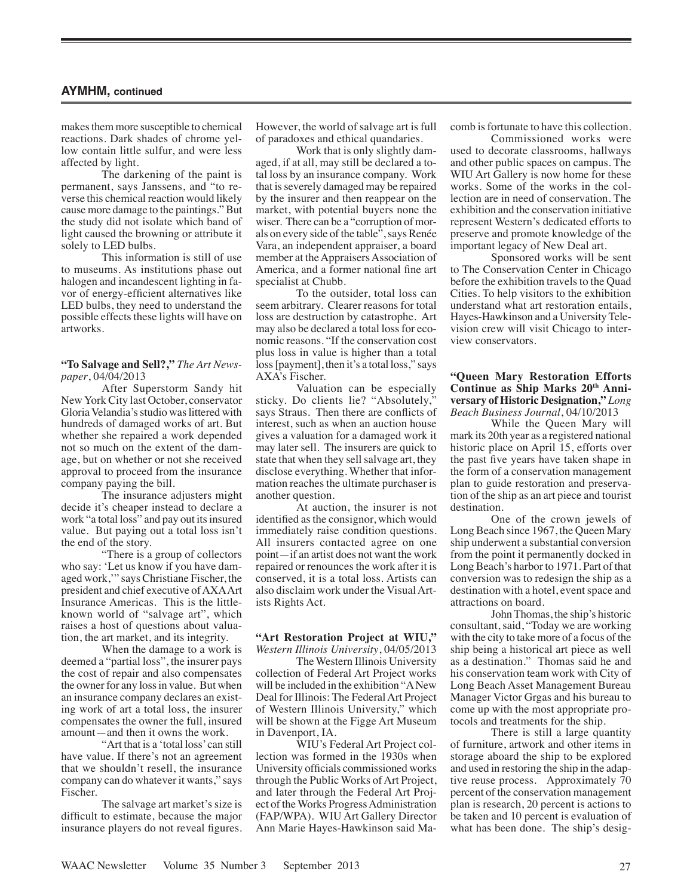makes them more susceptible to chemical reactions. Dark shades of chrome yellow contain little sulfur, and were less affected by light.

The darkening of the paint is permanent, says Janssens, and "to reverse this chemical reaction would likely cause more damage to the paintings." But the study did not isolate which band of light caused the browning or attribute it solely to LED bulbs.

This information is still of use to museums. As institutions phase out halogen and incandescent lighting in favor of energy-efficient alternatives like LED bulbs, they need to understand the possible effects these lights will have on artworks.

# **"To Salvage and Sell?,"** *The Art Newspaper*, 04/04/2013

After Superstorm Sandy hit New York City last October, conservator Gloria Velandia's studio was littered with hundreds of damaged works of art. But whether she repaired a work depended not so much on the extent of the damage, but on whether or not she received approval to proceed from the insurance company paying the bill.

The insurance adjusters might decide it's cheaper instead to declare a work "a total loss" and pay out its insured value. But paying out a total loss isn't the end of the story.

"There is a group of collectors who say: 'Let us know if you have damaged work,'" says Christiane Fischer, the president and chief executive of AXA Art Insurance Americas. This is the littleknown world of "salvage art", which raises a host of questions about valuation, the art market, and its integrity.

When the damage to a work is deemed a "partial loss", the insurer pays the cost of repair and also compensates the owner for any loss in value. But when an insurance company declares an existing work of art a total loss, the insurer compensates the owner the full, insured amount—and then it owns the work.

"Art that is a 'total loss' can still have value. If there's not an agreement that we shouldn't resell, the insurance company can do whatever it wants," says Fischer.

The salvage art market's size is difficult to estimate, because the major insurance players do not reveal figures.

However, the world of salvage art is full of paradoxes and ethical quandaries.

Work that is only slightly damaged, if at all, may still be declared a total loss by an insurance company. Work that is severely damaged may be repaired by the insurer and then reappear on the market, with potential buyers none the wiser. There can be a "corruption of morals on every side of the table", says Renée Vara, an independent appraiser, a board member at the Appraisers Association of America, and a former national fine art specialist at Chubb.

To the outsider, total loss can seem arbitrary. Clearer reasons for total loss are destruction by catastrophe. Art may also be declared a total loss for economic reasons. "If the conservation cost plus loss in value is higher than a total loss [payment], then it's a total loss," says AXA's Fischer.

Valuation can be especially sticky. Do clients lie? "Absolutely," says Straus. Then there are conflicts of interest, such as when an auction house gives a valuation for a damaged work it may later sell. The insurers are quick to state that when they sell salvage art, they disclose everything. Whether that information reaches the ultimate purchaser is another question.

At auction, the insurer is not identified as the consignor, which would immediately raise condition questions. All insurers contacted agree on one point—if an artist does not want the work repaired or renounces the work after it is conserved, it is a total loss. Artists can also disclaim work under the Visual Artists Rights Act.

#### **"Art Restoration Project at WIU,"** *Western Illinois University*, 04/05/2013

The Western Illinois University collection of Federal Art Project works will be included in the exhibition "A New Deal for Illinois: The Federal Art Project of Western Illinois University," which will be shown at the Figge Art Museum in Davenport, IA.

WIU's Federal Art Project collection was formed in the 1930s when University officials commissioned works through the Public Works of Art Project, and later through the Federal Art Project of the Works Progress Administration (FAP/WPA). WIU Art Gallery Director Ann Marie Hayes-Hawkinson said Macomb is fortunate to have this collection.

Commissioned works were used to decorate classrooms, hallways and other public spaces on campus. The WIU Art Gallery is now home for these works. Some of the works in the collection are in need of conservation. The exhibition and the conservation initiative represent Western's dedicated efforts to preserve and promote knowledge of the important legacy of New Deal art.

Sponsored works will be sent to The Conservation Center in Chicago before the exhibition travels to the Quad Cities. To help visitors to the exhibition understand what art restoration entails, Hayes-Hawkinson and a University Television crew will visit Chicago to interview conservators.

### **"Queen Mary Restoration Efforts**  Continue as Ship Marks 20<sup>th</sup> Anni**versary of Historic Designation,"** *Long Beach Business Journal*, 04/10/2013

While the Queen Mary will mark its 20th year as a registered national historic place on April 15, efforts over the past five years have taken shape in the form of a conservation management plan to guide restoration and preservation of the ship as an art piece and tourist destination.

One of the crown jewels of Long Beach since 1967, the Queen Mary ship underwent a substantial conversion from the point it permanently docked in Long Beach's harbor to 1971. Part of that conversion was to redesign the ship as a destination with a hotel, event space and attractions on board.

John Thomas, the ship's historic consultant, said, "Today we are working with the city to take more of a focus of the ship being a historical art piece as well as a destination." Thomas said he and his conservation team work with City of Long Beach Asset Management Bureau Manager Victor Grgas and his bureau to come up with the most appropriate protocols and treatments for the ship.

There is still a large quantity of furniture, artwork and other items in storage aboard the ship to be explored and used in restoring the ship in the adaptive reuse process. Approximately 70 percent of the conservation management plan is research, 20 percent is actions to be taken and 10 percent is evaluation of what has been done. The ship's desig-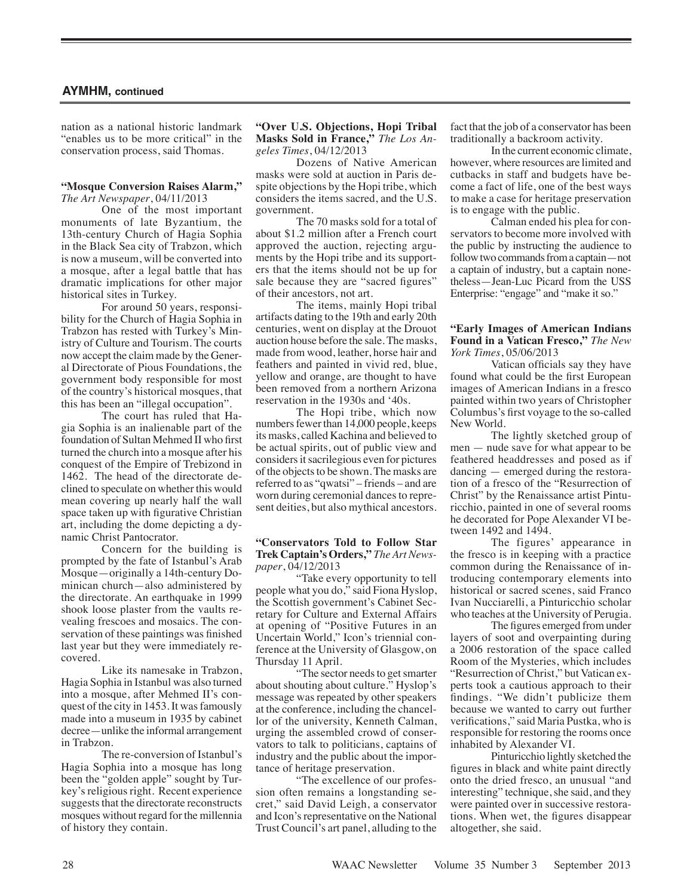nation as a national historic landmark "enables us to be more critical" in the conservation process, said Thomas.

#### **"Mosque Conversion Raises Alarm,"** *The Art Newspaper*, 04/11/2013

One of the most important monuments of late Byzantium, the 13th-century Church of Hagia Sophia in the Black Sea city of Trabzon, which is now a museum, will be converted into a mosque, after a legal battle that has dramatic implications for other major historical sites in Turkey.

For around 50 years, responsibility for the Church of Hagia Sophia in Trabzon has rested with Turkey's Ministry of Culture and Tourism. The courts now accept the claim made by the General Directorate of Pious Foundations, the government body responsible for most of the country's historical mosques, that this has been an "illegal occupation".

The court has ruled that Hagia Sophia is an inalienable part of the foundation of Sultan Mehmed II who first turned the church into a mosque after his conquest of the Empire of Trebizond in 1462. The head of the directorate declined to speculate on whether this would mean covering up nearly half the wall space taken up with figurative Christian art, including the dome depicting a dynamic Christ Pantocrator.

Concern for the building is prompted by the fate of Istanbul's Arab Mosque—originally a 14th-century Dominican church—also administered by the directorate. An earthquake in 1999 shook loose plaster from the vaults revealing frescoes and mosaics. The conservation of these paintings was finished last year but they were immediately recovered.

Like its namesake in Trabzon, Hagia Sophia in Istanbul was also turned into a mosque, after Mehmed II's conquest of the city in 1453. It was famously made into a museum in 1935 by cabinet decree—unlike the informal arrangement in Trabzon.

The re-conversion of Istanbul's Hagia Sophia into a mosque has long been the "golden apple" sought by Turkey's religious right. Recent experience suggests that the directorate reconstructs mosques without regard for the millennia of history they contain.

#### **"Over U.S. Objections, Hopi Tribal Masks Sold in France,"** *The Los Angeles Times*, 04/12/2013

Dozens of Native American masks were sold at auction in Paris despite objections by the Hopi tribe, which considers the items sacred, and the U.S. government.

The 70 masks sold for a total of about \$1.2 million after a French court approved the auction, rejecting arguments by the Hopi tribe and its supporters that the items should not be up for sale because they are "sacred figures" of their ancestors, not art.

The items, mainly Hopi tribal artifacts dating to the 19th and early 20th centuries, went on display at the Drouot auction house before the sale. The masks, made from wood, leather, horse hair and feathers and painted in vivid red, blue, yellow and orange, are thought to have been removed from a northern Arizona reservation in the 1930s and '40s.

The Hopi tribe, which now numbers fewer than 14,000 people, keeps its masks, called Kachina and believed to be actual spirits, out of public view and considers it sacrilegious even for pictures of the objects to be shown. The masks are referred to as "qwatsi" – friends – and are worn during ceremonial dances to represent deities, but also mythical ancestors.

#### **"Conservators Told to Follow Star Trek Captain's Orders,"** *The Art Newspaper*, 04/12/2013

"Take every opportunity to tell people what you do," said Fiona Hyslop, the Scottish government's Cabinet Secretary for Culture and External Affairs at opening of "Positive Futures in an Uncertain World," Icon's triennial conference at the University of Glasgow, on Thursday 11 April.

"The sector needs to get smarter about shouting about culture." Hyslop's message was repeated by other speakers at the conference, including the chancellor of the university, Kenneth Calman, urging the assembled crowd of conservators to talk to politicians, captains of industry and the public about the importance of heritage preservation.

"The excellence of our profession often remains a longstanding secret," said David Leigh, a conservator and Icon's representative on the National Trust Council's art panel, alluding to the fact that the job of a conservator has been traditionally a backroom activity.

In the current economic climate, however, where resources are limited and cutbacks in staff and budgets have become a fact of life, one of the best ways to make a case for heritage preservation is to engage with the public.

Calman ended his plea for conservators to become more involved with the public by instructing the audience to follow two commands from a captain—not a captain of industry, but a captain nonetheless—Jean-Luc Picard from the USS Enterprise: "engage" and "make it so."

## **"Early Images of American Indians Found in a Vatican Fresco,"** *The New York Times*, 05/06/2013

Vatican officials say they have found what could be the first European images of American Indians in a fresco painted within two years of Christopher Columbus's first voyage to the so-called New World.

The lightly sketched group of men — nude save for what appear to be feathered headdresses and posed as if dancing — emerged during the restoration of a fresco of the "Resurrection of Christ" by the Renaissance artist Pinturicchio, painted in one of several rooms he decorated for Pope Alexander VI between 1492 and 1494.

The figures' appearance in the fresco is in keeping with a practice common during the Renaissance of introducing contemporary elements into historical or sacred scenes, said Franco Ivan Nucciarelli, a Pinturicchio scholar who teaches at the University of Perugia.

The figures emerged from under layers of soot and overpainting during a 2006 restoration of the space called Room of the Mysteries, which includes "Resurrection of Christ," but Vatican experts took a cautious approach to their findings. "We didn't publicize them because we wanted to carry out further verifications," said Maria Pustka, who is responsible for restoring the rooms once inhabited by Alexander VI.

Pinturicchio lightly sketched the figures in black and white paint directly onto the dried fresco, an unusual "and interesting" technique, she said, and they were painted over in successive restorations. When wet, the figures disappear altogether, she said.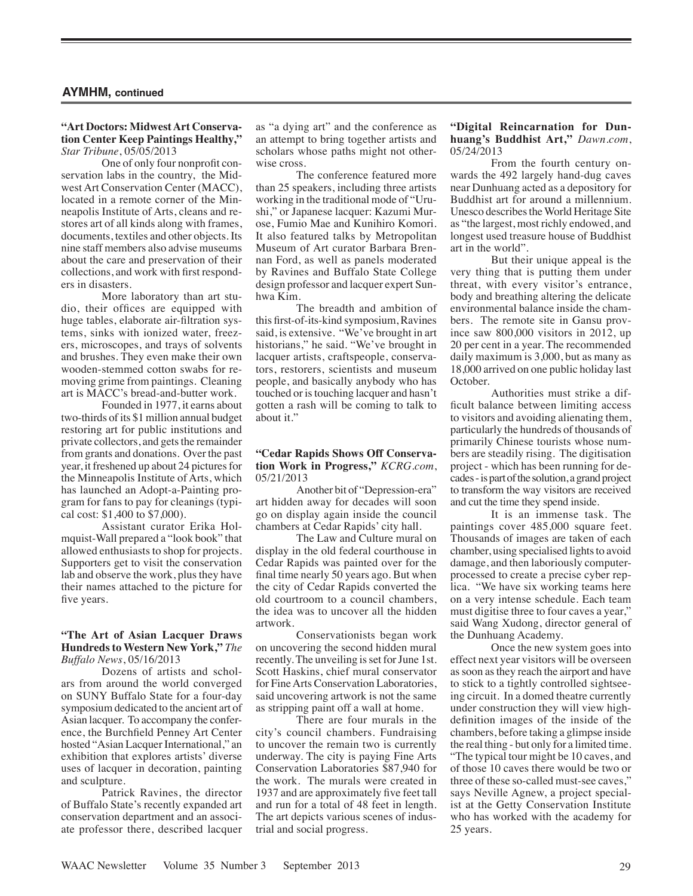#### **"Art Doctors: Midwest Art Conservation Center Keep Paintings Healthy,"** *Star Tribune*, 05/05/2013

One of only four nonprofit conservation labs in the country, the Midwest Art Conservation Center (MACC), located in a remote corner of the Minneapolis Institute of Arts, cleans and restores art of all kinds along with frames, documents, textiles and other objects. Its nine staff members also advise museums about the care and preservation of their collections, and work with first responders in disasters.

More laboratory than art studio, their offices are equipped with huge tables, elaborate air-filtration systems, sinks with ionized water, freezers, microscopes, and trays of solvents and brushes. They even make their own wooden-stemmed cotton swabs for removing grime from paintings. Cleaning art is MACC's bread-and-butter work.

Founded in 1977, it earns about two-thirds of its \$1 million annual budget restoring art for public institutions and private collectors, and gets the remainder from grants and donations. Over the past year, it freshened up about 24 pictures for the Minneapolis Institute of Arts, which has launched an Adopt-a-Painting program for fans to pay for cleanings (typical cost: \$1,400 to \$7,000).

Assistant curator Erika Holmquist-Wall prepared a "look book" that allowed enthusiasts to shop for projects. Supporters get to visit the conservation lab and observe the work, plus they have their names attached to the picture for five years.

## **"The Art of Asian Lacquer Draws Hundreds to Western New York,"** *The Buffalo News*, 05/16/2013

Dozens of artists and scholars from around the world converged on SUNY Buffalo State for a four-day symposium dedicated to the ancient art of Asian lacquer. To accompany the conference, the Burchfield Penney Art Center hosted "Asian Lacquer International," an exhibition that explores artists' diverse uses of lacquer in decoration, painting and sculpture.

Patrick Ravines, the director of Buffalo State's recently expanded art conservation department and an associate professor there, described lacquer as "a dying art" and the conference as an attempt to bring together artists and scholars whose paths might not otherwise cross.

The conference featured more than 25 speakers, including three artists working in the traditional mode of "Urushi," or Japanese lacquer: Kazumi Murose, Fumio Mae and Kunihiro Komori. It also featured talks by Metropolitan Museum of Art curator Barbara Brennan Ford, as well as panels moderated by Ravines and Buffalo State College design professor and lacquer expert Sunhwa Kim.

The breadth and ambition of this first-of-its-kind symposium, Ravines said, is extensive. "We've brought in art historians," he said. "We've brought in lacquer artists, craftspeople, conservators, restorers, scientists and museum people, and basically anybody who has touched or is touching lacquer and hasn't gotten a rash will be coming to talk to about it."

#### **"Cedar Rapids Shows Off Conservation Work in Progress,"** *KCRG.com*, 05/21/2013

Another bit of "Depression-era" art hidden away for decades will soon go on display again inside the council chambers at Cedar Rapids' city hall.

The Law and Culture mural on display in the old federal courthouse in Cedar Rapids was painted over for the final time nearly 50 years ago. But when the city of Cedar Rapids converted the old courtroom to a council chambers, the idea was to uncover all the hidden artwork.

Conservationists began work on uncovering the second hidden mural recently. The unveiling is set for June 1st. Scott Haskins, chief mural conservator for Fine Arts Conservation Laboratories, said uncovering artwork is not the same as stripping paint off a wall at home.

There are four murals in the city's council chambers. Fundraising to uncover the remain two is currently underway. The city is paying Fine Arts Conservation Laboratories \$87,940 for the work. The murals were created in 1937 and are approximately five feet tall and run for a total of 48 feet in length. The art depicts various scenes of industrial and social progress.

#### **"Digital Reincarnation for Dunhuang's Buddhist Art,"** *Dawn.com*, 05/24/2013

From the fourth century onwards the 492 largely hand-dug caves near Dunhuang acted as a depository for Buddhist art for around a millennium. Unesco describes the World Heritage Site as "the largest, most richly endowed, and longest used treasure house of Buddhist art in the world".

But their unique appeal is the very thing that is putting them under threat, with every visitor's entrance, body and breathing altering the delicate environmental balance inside the chambers. The remote site in Gansu province saw 800,000 visitors in 2012, up 20 per cent in a year. The recommended daily maximum is 3,000, but as many as 18,000 arrived on one public holiday last October.

Authorities must strike a difficult balance between limiting access to visitors and avoiding alienating them, particularly the hundreds of thousands of primarily Chinese tourists whose numbers are steadily rising. The digitisation project - which has been running for decades - is part of the solution, a grand project to transform the way visitors are received and cut the time they spend inside.

It is an immense task. The paintings cover 485,000 square feet. Thousands of images are taken of each chamber, using specialised lights to avoid damage, and then laboriously computerprocessed to create a precise cyber replica. "We have six working teams here on a very intense schedule. Each team must digitise three to four caves a year," said Wang Xudong, director general of the Dunhuang Academy.

Once the new system goes into effect next year visitors will be overseen as soon as they reach the airport and have to stick to a tightly controlled sightseeing circuit. In a domed theatre currently under construction they will view highdefinition images of the inside of the chambers, before taking a glimpse inside the real thing - but only for a limited time. "The typical tour might be 10 caves, and of those 10 caves there would be two or three of these so-called must-see caves," says Neville Agnew, a project specialist at the Getty Conservation Institute who has worked with the academy for 25 years.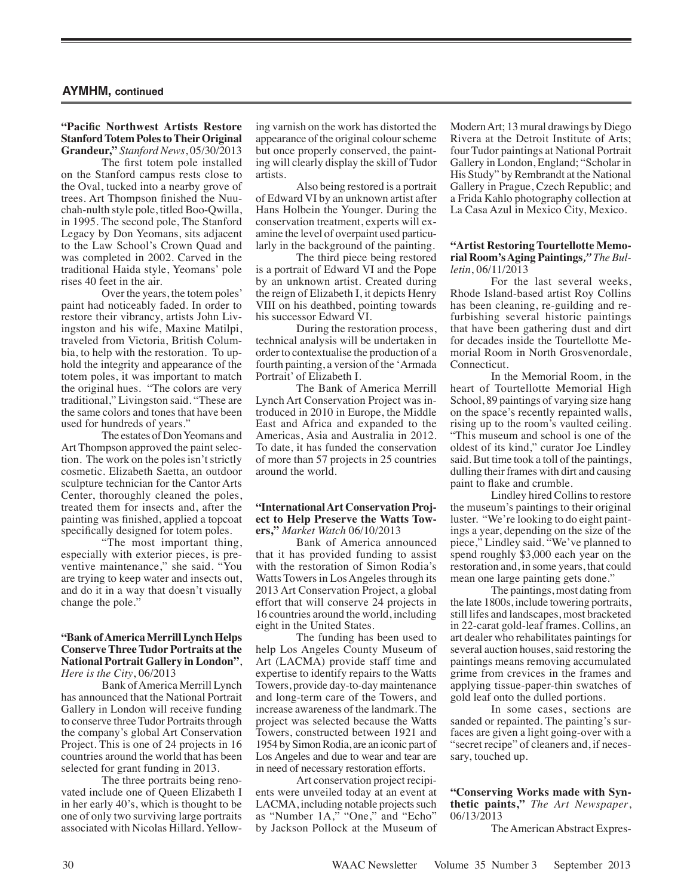#### **"Pacific Northwest Artists Restore Stanford Totem Poles to Their Original Grandeur,"** *Stanford News*, 05/30/2013

The first totem pole installed on the Stanford campus rests close to the Oval, tucked into a nearby grove of trees. Art Thompson finished the Nuuchah-nulth style pole, titled Boo-Qwilla, in 1995. The second pole, The Stanford Legacy by Don Yeomans, sits adjacent to the Law School's Crown Quad and was completed in 2002. Carved in the traditional Haida style, Yeomans' pole rises 40 feet in the air.

Over the years, the totem poles' paint had noticeably faded. In order to restore their vibrancy, artists John Livingston and his wife, Maxine Matilpi, traveled from Victoria, British Columbia, to help with the restoration. To uphold the integrity and appearance of the totem poles, it was important to match the original hues. "The colors are very traditional," Livingston said. "These are the same colors and tones that have been used for hundreds of years."

The estates of Don Yeomans and Art Thompson approved the paint selection. The work on the poles isn't strictly cosmetic. Elizabeth Saetta, an outdoor sculpture technician for the Cantor Arts Center, thoroughly cleaned the poles, treated them for insects and, after the painting was finished, applied a topcoat specifically designed for totem poles.

"The most important thing, especially with exterior pieces, is preventive maintenance," she said. "You are trying to keep water and insects out, and do it in a way that doesn't visually change the pole."

#### **"Bank of America Merrill Lynch Helps Conserve Three Tudor Portraits at the National Portrait Gallery in London"**, *Here is the City*, 06/2013

Bank of America Merrill Lynch has announced that the National Portrait Gallery in London will receive funding to conserve three Tudor Portraits through the company's global Art Conservation Project. This is one of 24 projects in 16 countries around the world that has been selected for grant funding in 2013.

The three portraits being renovated include one of Queen Elizabeth I in her early 40's, which is thought to be one of only two surviving large portraits associated with Nicolas Hillard. Yellowing varnish on the work has distorted the appearance of the original colour scheme but once properly conserved, the painting will clearly display the skill of Tudor artists.

Also being restored is a portrait of Edward VI by an unknown artist after Hans Holbein the Younger. During the conservation treatment, experts will examine the level of overpaint used particularly in the background of the painting.

The third piece being restored is a portrait of Edward VI and the Pope by an unknown artist. Created during the reign of Elizabeth I, it depicts Henry VIII on his deathbed, pointing towards his successor Edward VI.

During the restoration process, technical analysis will be undertaken in order to contextualise the production of a fourth painting, a version of the 'Armada Portrait' of Elizabeth I.

The Bank of America Merrill Lynch Art Conservation Project was introduced in 2010 in Europe, the Middle East and Africa and expanded to the Americas, Asia and Australia in 2012. To date, it has funded the conservation of more than 57 projects in 25 countries around the world.

#### **"International Art Conservation Project to Help Preserve the Watts Towers,"** *Market Watch* 06/10/2013

Bank of America announced that it has provided funding to assist with the restoration of Simon Rodia's Watts Towers in Los Angeles through its 2013 Art Conservation Project, a global effort that will conserve 24 projects in 16 countries around the world, including eight in the United States.

The funding has been used to help Los Angeles County Museum of Art (LACMA) provide staff time and expertise to identify repairs to the Watts Towers, provide day-to-day maintenance and long-term care of the Towers, and increase awareness of the landmark. The project was selected because the Watts Towers, constructed between 1921 and 1954 by Simon Rodia, are an iconic part of Los Angeles and due to wear and tear are in need of necessary restoration efforts.

Art conservation project recipients were unveiled today at an event at LACMA, including notable projects such as "Number 1A," "One," and "Echo" by Jackson Pollock at the Museum of Modern Art; 13 mural drawings by Diego Rivera at the Detroit Institute of Arts; four Tudor paintings at National Portrait Gallery in London, England; "Scholar in His Study" by Rembrandt at the National Gallery in Prague, Czech Republic; and a Frida Kahlo photography collection at La Casa Azul in Mexico City, Mexico.

#### **"Artist Restoring Tourtellotte Memorial Room's Aging Paintings***," The Bulletin*, 06/11/2013

For the last several weeks, Rhode Island-based artist Roy Collins has been cleaning, re-guilding and refurbishing several historic paintings that have been gathering dust and dirt for decades inside the Tourtellotte Memorial Room in North Grosvenordale, Connecticut.

In the Memorial Room, in the heart of Tourtellotte Memorial High School, 89 paintings of varying size hang on the space's recently repainted walls, rising up to the room's vaulted ceiling. "This museum and school is one of the oldest of its kind," curator Joe Lindley said. But time took a toll of the paintings, dulling their frames with dirt and causing paint to flake and crumble.

Lindley hired Collins to restore the museum's paintings to their original luster. "We're looking to do eight paintings a year, depending on the size of the piece," Lindley said. "We've planned to spend roughly \$3,000 each year on the restoration and, in some years, that could mean one large painting gets done."

The paintings, most dating from the late 1800s, include towering portraits, still lifes and landscapes, most bracketed in 22-carat gold-leaf frames. Collins, an art dealer who rehabilitates paintings for several auction houses, said restoring the paintings means removing accumulated grime from crevices in the frames and applying tissue-paper-thin swatches of gold leaf onto the dulled portions.

In some cases, sections are sanded or repainted. The painting's surfaces are given a light going-over with a "secret recipe" of cleaners and, if necessary, touched up.

#### **"Conserving Works made with Synthetic paints,"** *The Art Newspaper*, 06/13/2013

The American Abstract Expres-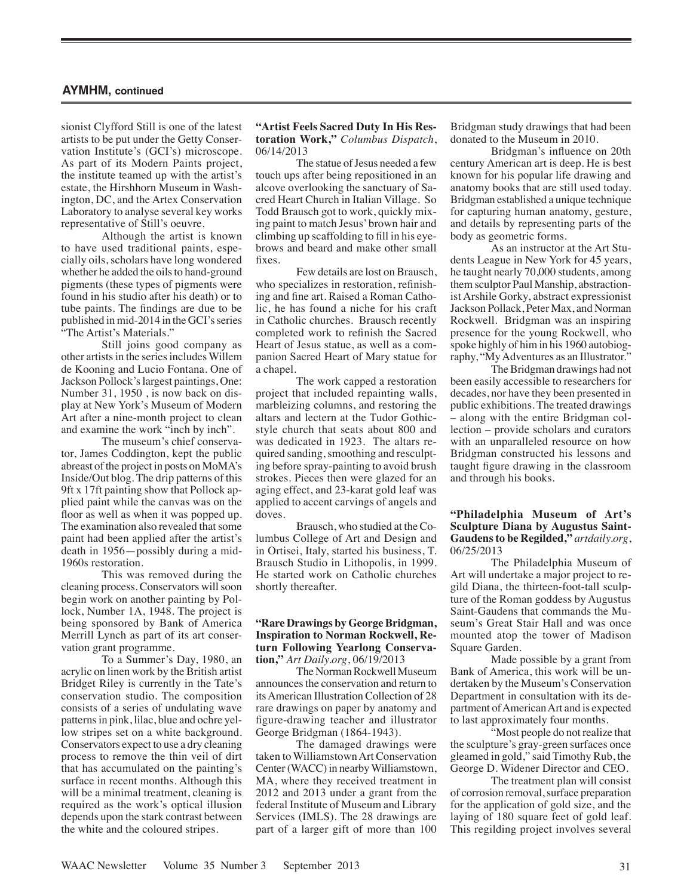sionist Clyfford Still is one of the latest artists to be put under the Getty Conservation Institute's (GCI's) microscope. As part of its Modern Paints project, the institute teamed up with the artist's estate, the Hirshhorn Museum in Washington, DC, and the Artex Conservation Laboratory to analyse several key works representative of Still's oeuvre.

Although the artist is known to have used traditional paints, especially oils, scholars have long wondered whether he added the oils to hand-ground pigments (these types of pigments were found in his studio after his death) or to tube paints. The findings are due to be published in mid-2014 in the GCI's series "The Artist's Materials."

Still joins good company as other artists in the series includes Willem de Kooning and Lucio Fontana. One of Jackson Pollock's largest paintings, One: Number 31, 1950 , is now back on display at New York's Museum of Modern Art after a nine-month project to clean and examine the work "inch by inch".

The museum's chief conservator, James Coddington, kept the public abreast of the project in posts on MoMA's Inside/Out blog. The drip patterns of this 9ft x 17ft painting show that Pollock applied paint while the canvas was on the floor as well as when it was popped up. The examination also revealed that some paint had been applied after the artist's death in 1956—possibly during a mid-1960s restoration.

This was removed during the cleaning process. Conservators will soon begin work on another painting by Pollock, Number 1A, 1948. The project is being sponsored by Bank of America Merrill Lynch as part of its art conservation grant programme.

To a Summer's Day, 1980, an acrylic on linen work by the British artist Bridget Riley is currently in the Tate's conservation studio. The composition consists of a series of undulating wave patterns in pink, lilac, blue and ochre yellow stripes set on a white background. Conservators expect to use a dry cleaning process to remove the thin veil of dirt that has accumulated on the painting's surface in recent months. Although this will be a minimal treatment, cleaning is required as the work's optical illusion depends upon the stark contrast between the white and the coloured stripes.

#### **"Artist Feels Sacred Duty In His Restoration Work,"** *Columbus Dispatch*, 06/14/2013

The statue of Jesus needed a few touch ups after being repositioned in an alcove overlooking the sanctuary of Sacred Heart Church in Italian Village. So Todd Brausch got to work, quickly mixing paint to match Jesus' brown hair and climbing up scaffolding to fill in his eyebrows and beard and make other small fixes.

Few details are lost on Brausch, who specializes in restoration, refinishing and fine art. Raised a Roman Catholic, he has found a niche for his craft in Catholic churches. Brausch recently completed work to refinish the Sacred Heart of Jesus statue, as well as a companion Sacred Heart of Mary statue for a chapel.

The work capped a restoration project that included repainting walls, marbleizing columns, and restoring the altars and lectern at the Tudor Gothicstyle church that seats about 800 and was dedicated in 1923. The altars required sanding, smoothing and resculpting before spray-painting to avoid brush strokes. Pieces then were glazed for an aging effect, and 23-karat gold leaf was applied to accent carvings of angels and doves.

Brausch, who studied at the Columbus College of Art and Design and in Ortisei, Italy, started his business, T. Brausch Studio in Lithopolis, in 1999. He started work on Catholic churches shortly thereafter.

## **"Rare Drawings by George Bridgman, Inspiration to Norman Rockwell, Return Following Yearlong Conservation,"** *Art Daily.org*, 06/19/2013

The Norman Rockwell Museum announces the conservation and return to its American Illustration Collection of 28 rare drawings on paper by anatomy and figure-drawing teacher and illustrator George Bridgman (1864-1943).

The damaged drawings were taken to Williamstown Art Conservation Center (WACC) in nearby Williamstown, MA, where they received treatment in 2012 and 2013 under a grant from the federal Institute of Museum and Library Services (IMLS). The 28 drawings are part of a larger gift of more than 100 Bridgman study drawings that had been donated to the Museum in 2010.

Bridgman's influence on 20th century American art is deep. He is best known for his popular life drawing and anatomy books that are still used today. Bridgman established a unique technique for capturing human anatomy, gesture, and details by representing parts of the body as geometric forms.

As an instructor at the Art Students League in New York for 45 years, he taught nearly 70,000 students, among them sculptor Paul Manship, abstractionist Arshile Gorky, abstract expressionist Jackson Pollack, Peter Max, and Norman Rockwell. Bridgman was an inspiring presence for the young Rockwell, who spoke highly of him in his 1960 autobiography, "My Adventures as an Illustrator."

The Bridgman drawings had not been easily accessible to researchers for decades, nor have they been presented in public exhibitions. The treated drawings – along with the entire Bridgman collection – provide scholars and curators with an unparalleled resource on how Bridgman constructed his lessons and taught figure drawing in the classroom and through his books.

#### **"Philadelphia Museum of Art's Sculpture Diana by Augustus Saint-Gaudens to be Regilded,"** *artdaily.org*, 06/25/2013

The Philadelphia Museum of Art will undertake a major project to regild Diana, the thirteen-foot-tall sculpture of the Roman goddess by Augustus Saint-Gaudens that commands the Museum's Great Stair Hall and was once mounted atop the tower of Madison Square Garden.

Made possible by a grant from Bank of America, this work will be undertaken by the Museum's Conservation Department in consultation with its department of American Art and is expected to last approximately four months.

"Most people do not realize that the sculpture's gray-green surfaces once gleamed in gold," said Timothy Rub, the George D. Widener Director and CEO.

The treatment plan will consist of corrosion removal, surface preparation for the application of gold size, and the laying of 180 square feet of gold leaf. This regilding project involves several